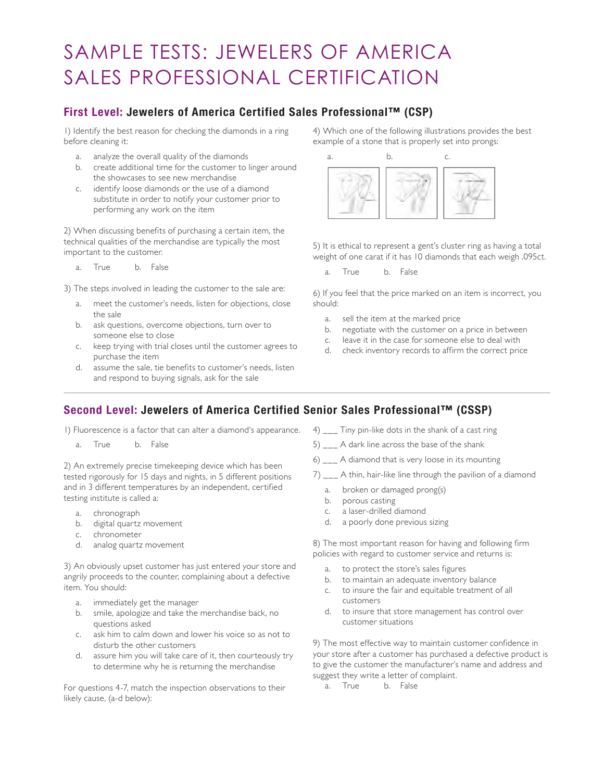## SAMPLE TESTS: JEWELERS OF AMERICA SALES PROFESSIONAL CERTIFICATION

## **First Level: Jewelers of America Certified Sales Professional™ (CSP)**

1) Identify the best reason for checking the diamonds in a ring before cleaning it:

- a. analyze the overall quality of the diamonds
- b. create additional time for the customer to linger around the showcases to see new merchandise
- c. identify loose diamonds or the use of a diamond substitute in order to notify your customer prior to performing any work on the item

2) When discussing benefits of purchasing a certain item, the technical qualities of the merchandise are typically the most important to the customer.

a. True b. False

3) The steps involved in leading the customer to the sale are:

- a. meet the customer's needs, listen for objections, close the sale
- b. ask questions, overcome objections, turn over to someone else to close
- c. keep trying with trial closes until the customer agrees to purchase the item
- d. assume the sale, tie benefits to customer's needs, listen and respond to buying signals, ask for the sale

4) Which one of the following illustrations provides the best example of a stone that is properly set into prongs:



5) It is ethical to represent a gent's cluster ring as having a total weight of one carat if it has 10 diamonds that each weigh .095ct.

a. True b. False

6) If you feel that the price marked on an item is incorrect, you should:

- a. sell the item at the marked price
- b. negotiate with the customer on a price in between
- c. leave it in the case for someone else to deal with
- d. check inventory records to affirm the correct price

## **Second Level: Jewelers of America Certified Senior Sales Professional™ (CSSP)**

1) Fluorescence is a factor that can alter a diamond's appearance.

a. True b. False

2) An extremely precise timekeeping device which has been tested rigorously for 15 days and nights, in 5 different positions and in 3 different temperatures by an independent, certified testing institute is called a:

- a. chronograph
- b. digital quartz movement
- c. chronometer
- d. analog quartz movement

3) An obviously upset customer has just entered your store and angrily proceeds to the counter, complaining about a defective item. You should:

- a. immediately get the manager
- b. smile, apologize and take the merchandise back, no questions asked
- c. ask him to calm down and lower his voice so as not to disturb the other customers
- d. assure him you will take care of it, then courteously try to determine why he is returning the merchandise

For questions 4-7, match the inspection observations to their likely cause, (a-d below):

- 4) \_\_\_ Tiny pin-like dots in the shank of a cast ring
- 5) \_\_\_ A dark line across the base of the shank
- 6) \_\_\_ A diamond that is very loose in its mounting
- 7) \_\_\_ A thin, hair-like line through the pavilion of a diamond
	- a. broken or damaged prong(s)
	- b. porous casting
	- c. a laser-drilled diamond
	- d. a poorly done previous sizing

8) The most important reason for having and following firm policies with regard to customer service and returns is:

- a. to protect the store's sales figures
- b. to maintain an adequate inventory balance
- c. to insure the fair and equitable treatment of all customers
- d. to insure that store management has control over customer situations

9) The most effective way to maintain customer confidence in your store after a customer has purchased a defective product is to give the customer the manufacturer's name and address and suggest they write a letter of complaint.

a. True b. False